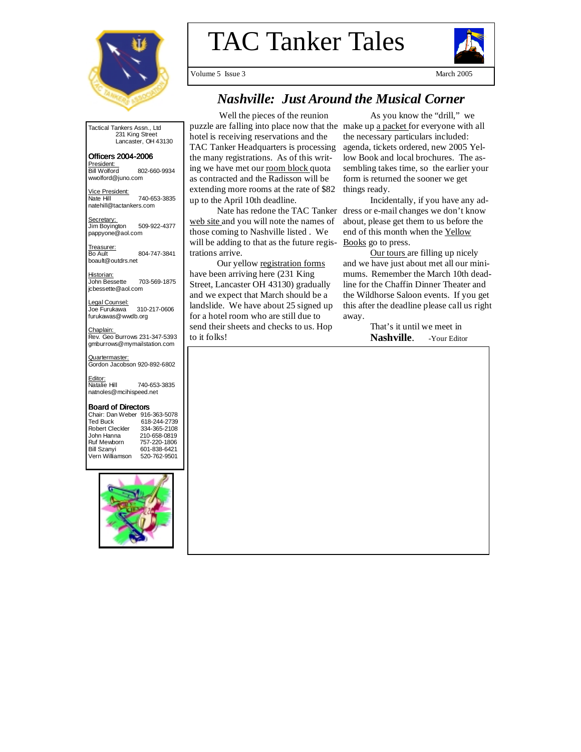

TAC Tanker Tales



Volume 5 Issue 3 March 2005

# *Nashville: Just Around the Musical Corner*

Tactical Tankers Assn., Ltd 231 King Street Lancaster, OH 43130

# Officers 2004- Officers 2004-2006

President: Bill Wolford 802-660-9934 wwolford@juno.com

 Vice President: Nate Hill 740-653-3835 natehill@tactankers.com

Secretary: Jim Boyington 509-922-4377 pappyone@aol.com

Treasurer: Bo Ault 804-747-3841 boault@outdrs.net

<u>Historian:</u><br>John Bessette 703-569-1875 jcbessette@aol.com

Legal Counsel:<br>Joe Furukawa 310-217-0606 furukawas@wwdb.org

<u>Chaplain:</u><br>Rev. Geo Burrows 231-347-5393 gmburrows@mymailstation.com

Quartermaster: Gordon Jacobson 920-892-6802

Editor:<br>Natalie Hill 740-653-3835 natnoles@mcihispeed.net

#### Board of Directors

Chair: Dan Weber 916-363-5078 Ted Buck 618-244-2739 Robert Cleckler 334-365-2108<br>John Hanna 210-658-0819 John Hanna 210-658-0819 Ruf Mewborn 757-220-1806 601-838-6421<br>520-762-9501 Vern Williamson



Well the pieces of the reunion puzzle are falling into place now that the make up a packet for everyone with all hotel is receiving reservations and the TAC Tanker Headquarters is processing the many registrations. As of this writing we have met our room block quota as contracted and the Radisson will be extending more rooms at the rate of \$82 up to the April 10th deadline.

web site and you will note the names of those coming to Nashville listed . We will be adding to that as the future registrations arrive.

 Our yellow registration forms have been arriving here (231 King Street, Lancaster OH 43130) gradually and we expect that March should be a landslide. We have about 25 signed up for a hotel room who are still due to send their sheets and checks to us. Hop to it folks!

 As you know the "drill," we the necessary particulars included: agenda, tickets ordered, new 2005 Yellow Book and local brochures. The assembling takes time, so the earlier your form is returned the sooner we get things ready.

Nate has redone the TAC Tanker dress or e-mail changes we don't know Incidentally, if you have any adabout, please get them to us before the end of this month when the Yellow Books go to press.

> Our tours are filling up nicely and we have just about met all our minimums. Remember the March 10th deadline for the Chaffin Dinner Theater and the Wildhorse Saloon events. If you get this after the deadline please call us right away.

> > That's it until we meet in Nashville. - Your Editor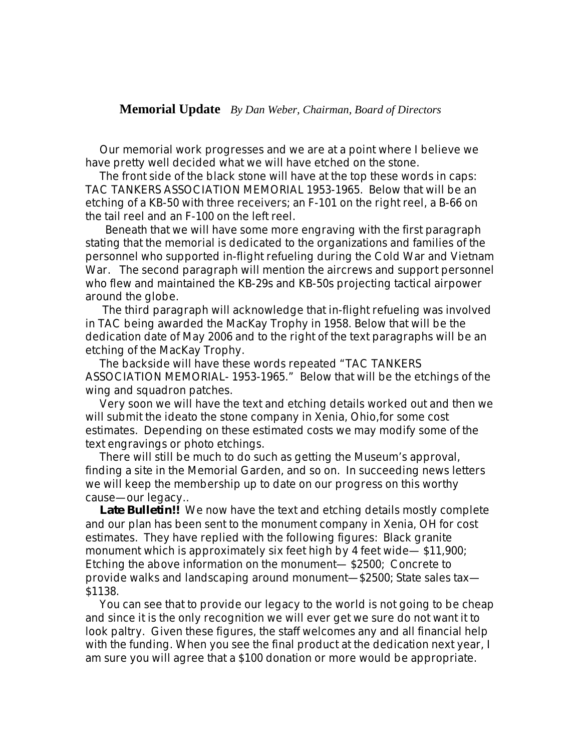# **Memorial Update** *By Dan Weber, Chairman, Board of Directors*

 Our memorial work progresses and we are at a point where I believe we have pretty well decided what we will have etched on the stone.

 The front side of the black stone will have at the top these words in caps: TAC TANKERS ASSOCIATION MEMORIAL 1953-1965. Below that will be an etching of a KB-50 with three receivers; an F-101 on the right reel, a B-66 on the tail reel and an F-100 on the left reel.

 Beneath that we will have some more engraving with the first paragraph stating that the memorial is dedicated to the organizations and families of the personnel who supported in-flight refueling during the Cold War and Vietnam War. The second paragraph will mention the aircrews and support personnel who flew and maintained the KB-29s and KB-50s projecting tactical airpower around the globe.

 The third paragraph will acknowledge that in-flight refueling was involved in TAC being awarded the MacKay Trophy in 1958. Below that will be the dedication date of May 2006 and to the right of the text paragraphs will be an etching of the MacKay Trophy.

 The backside will have these words repeated "TAC TANKERS ASSOCIATION MEMORIAL- 1953-1965." Below that will be the etchings of the wing and squadron patches.

 Very soon we will have the text and etching details worked out and then we will submit the ideato the stone company in Xenia, Ohio, for some cost estimates. Depending on these estimated costs we may modify some of the text engravings or photo etchings.

 There will still be much to do such as getting the Museum's approval, finding a site in the Memorial Garden, and so on. In succeeding news letters we will keep the membership up to date on our progress on this worthy cause—our legacy..

 **Late Bulletin!!** We now have the text and etching details mostly complete and our plan has been sent to the monument company in Xenia, OH for cost estimates. They have replied with the following figures: Black granite monument which is approximately six feet high by 4 feet wide— \$11,900; Etching the above information on the monument— \$2500; Concrete to provide walks and landscaping around monument—\$2500; State sales tax— \$1138.

 You can see that to provide our legacy to the world is not going to be cheap and since it is the only recognition we will ever get we sure do not want it to look paltry. Given these figures, the staff welcomes any and all financial help with the funding. When you see the final product at the dedication next year, I am sure you will agree that a \$100 donation or more would be appropriate.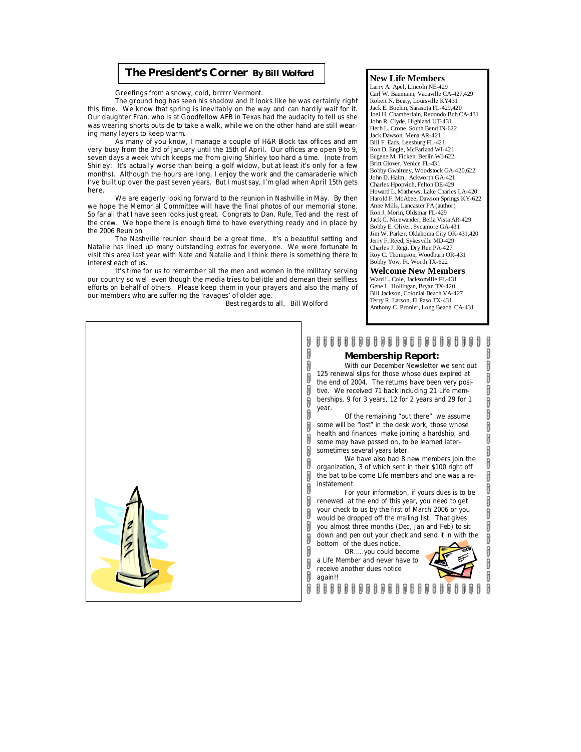### **The President's Corner** *By Bill Wolford*

Greetings from a snowy, cold, brrrrr Vermont.

 The ground hog has seen his shadow and it looks like he was certainly right this time. We know that spring is inevitably on the way and can hardly wait for it. Our daughter Fran, who is at Goodfellow AFB in Texas had the audacity to tell us she was wearing shorts outside to take a walk, while we on the other hand are still wearing many layers to keep warm.

 As many of you know, I manage a couple of H&R Block tax offices and am very busy from the 3rd of January until the 15th of April. Our offices are open 9 to 9, seven days a week which keeps me from giving Shirley too hard a time. (note from Shirley: It's actually worse than being a golf widow, but at least it's only for a few months). Although the hours are long, I enjoy the work and the camaraderie which I've built up over the past seven years. But I must say, I'm glad when April 15th gets here.

 We are eagerly looking forward to the reunion in Nashville in May. By then we hope the Memorial Committee will have the final photos of our memorial stone. So far all that I have seen looks just great. Congrats to Dan, Rufe, Ted and the rest of the crew. We hope there is enough time to have everything ready and in place by the 2006 Reunion.

 The Nashville reunion should be a great time. It's a beautiful setting and Natalie has lined up many outstanding extras for everyone. We were fortunate to visit this area last year with Nate and Natalie and I think there is something there to interest each of us.

 It's time for us to remember all the men and women in the military serving our country so well even though the media tries to belittle and demean their selfless efforts on behalf of others. Please keep them in your prayers and also the many of our members who are suffering the 'ravages' of older age.

Best regards to all, Bill Wolford

 $\mathbf{\mathbf{\mathsf{N}}}$ 

#### **New Life Members**

Larry A. Apel, Lincoln NE-429 Carl W. Baumann, Vacaville CA-427,429 Robert N. Beaty, Louisville KY431 Jack E. Boehm, Sarasota FL-429,420 Joel H. Chamberlain, Redondo Bch CA-431 John R. Clyde, Highland UT-431 Herb L. Crone, South Bend IN-622 Jack Dawson, Mena AR-421 Bill F. Eads, Leesburg FL-421 Ron D. Engle, McFarland WI-421 Eugene M. Ficken, Berlin WI-622 Britt Glover, Venice FL-431 Bobby Gwaltney, Woodstock GA-420,622 John D. Halm, Ackworth GA-421 Charles Hpopvich, Felton DE-429 Howard L. Mathews, Lake Charles LA-420 Harold F. McAbee, Dawson Springs KY-622 Anne Mills, Lancaster PA (author) Ron J. Morin, Oldsmar FL-429 Jack C. Nicewander, Bella Vista AR-429 Bobby E. Oliver, Sycamore GA-431 Jim W. Parker, Oklahoma City OK-431,420 Jerry F. Reed, Sykesville MD-429 Charles J. Regi, Dry Run PA-427 Roy C. Thompson, Woodburn OR-431 Bobby Yow, Ft. Worth TX-622

#### **Welcome New Members**

Ward L. Cole, Jacksonville FL-431 Gene L. Hollingan, Bryan TX-420 Bill Jackson, Colonial Beach VA-427 Terry R. Larson, El Paso TX-431 Anthony C. Pronier, Long Beach CA-431

# 

#### **Membership Report:**

 With our December Newsletter we sent out 125 renewal slips for those whose dues expired at the end of 2004. The returns have been very positive. We received 71 back including 21 Life memberships, 9 for 3 years, 12 for 2 years and 29 for 1 year.

 Of the remaining "out there" we assume some will be "lost" in the desk work, those whose health and finances make joining a hardship, and some may have passed on, to be learned latersometimes several years later.

 We have also had 8 new members join the organization, 3 of which sent in their \$100 right off the bat to be come Life members and one was a reinstatement.

 For your information, if yours dues is to be renewed at the end of this year, you need to get your check to us by the first of March 2006 or you would be dropped off the mailing list. That gives you almost three months (Dec, Jan and Feb) to sit down and pen out your check and send it in with the bottom of the dues notice.

 OR…..you could become a Life Member and never have to receive another dues notice again!!



ĥ ĥ Ŋ

Ŋ Î Î ĥ ĥ Ŋ

ij 0 Ŋ

A A A A A A A A A A A A A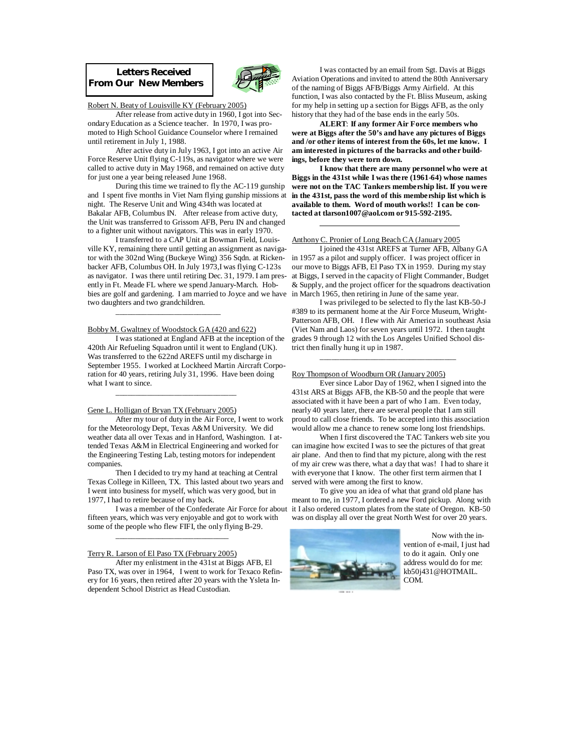**Letters Received From Our New Members** 



#### Robert N. Beaty of Louisville KY (February 2005)

 After release from active duty in 1960, I got into Secondary Education as a Science teacher. In 1970, I was promoted to High School Guidance Counselor where I remained until retirement in July 1, 1988.

 After active duty in July 1963, I got into an active Air Force Reserve Unit flying C-119s, as navigator where we were called to active duty in May 1968, and remained on active duty for just one a year being released June 1968.

 During this time we trained to fly the AC-119 gunship and I spent five months in Viet Nam flying gunship missions at night. The Reserve Unit and Wing 434th was located at Bakalar AFB, Columbus IN. After release from active duty, the Unit was transferred to Grissom AFB, Peru IN and changed to a fighter unit without navigators. This was in early 1970.

 I transferred to a CAP Unit at Bowman Field, Louisville KY, remaining there until getting an assignment as navigator with the 302nd Wing (Buckeye Wing) 356 Sqdn. at Rickenbacker AFB, Columbus OH. In July 1973,I was flying C-123s as navigator. I was there until retiring Dec. 31, 1979. I am presently in Ft. Meade FL where we spend January-March. Hobbies are golf and gardening. I am married to Joyce and we have in March 1965, then retiring in June of the same year. two daughters and two grandchildren.

### Bobby M. Gwaltney of Woodstock GA (420 and 622)

\_\_\_\_\_\_\_\_\_\_\_\_\_\_\_\_\_\_\_\_\_\_\_\_\_\_\_

 I was stationed at England AFB at the inception of the 420th Air Refueling Squadron until it went to England (UK). Was transferred to the 622nd AREFS until my discharge in September 1955. I worked at Lockheed Martin Aircraft Corporation for 40 years, retiring July 31, 1996. Have been doing what I want to since.

# $\overline{\phantom{a}}$  ,  $\overline{\phantom{a}}$  ,  $\overline{\phantom{a}}$  ,  $\overline{\phantom{a}}$  ,  $\overline{\phantom{a}}$  ,  $\overline{\phantom{a}}$  ,  $\overline{\phantom{a}}$  ,  $\overline{\phantom{a}}$  ,  $\overline{\phantom{a}}$  ,  $\overline{\phantom{a}}$  ,  $\overline{\phantom{a}}$  ,  $\overline{\phantom{a}}$  ,  $\overline{\phantom{a}}$  ,  $\overline{\phantom{a}}$  ,  $\overline{\phantom{a}}$  ,  $\overline{\phantom{a}}$ Gene L. Holligan of Bryan TX (February 2005)

 After my tour of duty in the Air Force, I went to work for the Meteorology Dept, Texas A&M University. We did weather data all over Texas and in Hanford, Washington. I attended Texas A&M in Electrical Engineering and worked for the Engineering Testing Lab, testing motors for independent companies.

 Then I decided to try my hand at teaching at Central Texas College in Killeen, TX. This lasted about two years and I went into business for myself, which was very good, but in 1977, I had to retire because of my back.

fifteen years, which was very enjoyable and got to work with some of the people who flew FIFI, the only flying B-29.

#### Terry R. Larson of El Paso TX (February 2005)

\_\_\_\_\_\_\_\_\_\_\_\_\_\_\_\_\_\_\_\_\_\_\_\_\_\_\_\_\_

 After my enlistment in the 431st at Biggs AFB, El Paso TX, was over in 1964, I went to work for Texaco Refinery for 16 years, then retired after 20 years with the Ysleta Independent School District as Head Custodian.

 I was contacted by an email from Sgt. Davis at Biggs Aviation Operations and invited to attend the 80th Anniversary of the naming of Biggs AFB/Biggs Army Airfield. At this function, I was also contacted by the Ft. Bliss Museum, asking for my help in setting up a section for Biggs AFB, as the only history that they had of the base ends in the early 50s.

 **ALERT**: **If any former Air Force members who were at Biggs after the 50's and have any pictures of Biggs and /or other items of interest from the 60s, let me know. I am interested in pictures of the barracks and other buildings, before they were torn down.** 

 **I know that there are many personnel who were at Biggs in the 431st while I was there (1961-64) whose names were not on the TAC Tankers membership list. If you were in the 431st, pass the word of this membership list which is available to them. Word of mouth works!! I can be contacted at tlarson1007@aol.com or 915-592-2195.** 

#### Anthony C. Pronier of Long Beach CA (January 2005

 I joined the 431st AREFS at Turner AFB, Albany GA in 1957 as a pilot and supply officer. I was project officer in our move to Biggs AFB, El Paso TX in 1959. During my stay at Biggs, I served in the capacity of Flight Commander, Budget & Supply, and the project officer for the squadrons deactivation

 I was privileged to be selected to fly the last KB-50-J #389 to its permanent home at the Air Force Museum, Wright-Patterson AFB, OH. I flew with Air America in southeast Asia (Viet Nam and Laos) for seven years until 1972. I then taught grades 9 through 12 with the Los Angeles Unified School district then finally hung it up in 1987.

#### Roy Thompson of Woodburn OR (January 2005)

 $\overline{\phantom{a}}$  ,  $\overline{\phantom{a}}$  ,  $\overline{\phantom{a}}$  ,  $\overline{\phantom{a}}$  ,  $\overline{\phantom{a}}$  ,  $\overline{\phantom{a}}$  ,  $\overline{\phantom{a}}$  ,  $\overline{\phantom{a}}$  ,  $\overline{\phantom{a}}$  ,  $\overline{\phantom{a}}$  ,  $\overline{\phantom{a}}$  ,  $\overline{\phantom{a}}$  ,  $\overline{\phantom{a}}$  ,  $\overline{\phantom{a}}$  ,  $\overline{\phantom{a}}$  ,  $\overline{\phantom{a}}$ 

 Ever since Labor Day of 1962, when I signed into the 431st ARS at Biggs AFB, the KB-50 and the people that were associated with it have been a part of who I am. Even today, nearly 40 years later, there are several people that I am still proud to call close friends. To be accepted into this association would allow me a chance to renew some long lost friendships.

 When I first discovered the TAC Tankers web site you can imagine how excited I was to see the pictures of that great air plane. And then to find that my picture, along with the rest of my air crew was there, what a day that was! I had to share it with everyone that I know. The other first term airmen that I served with were among the first to know.

 I was a member of the Confederate Air Force for about it I also ordered custom plates from the state of Oregon. KB-50 To give you an idea of what that grand old plane has meant to me, in 1977, I ordered a new Ford pickup. Along with was on display all over the great North West for over 20 years.



 Now with the invention of e-mail, I just had to do it again. Only one address would do for me: kb50j431@HOTMAIL. COM.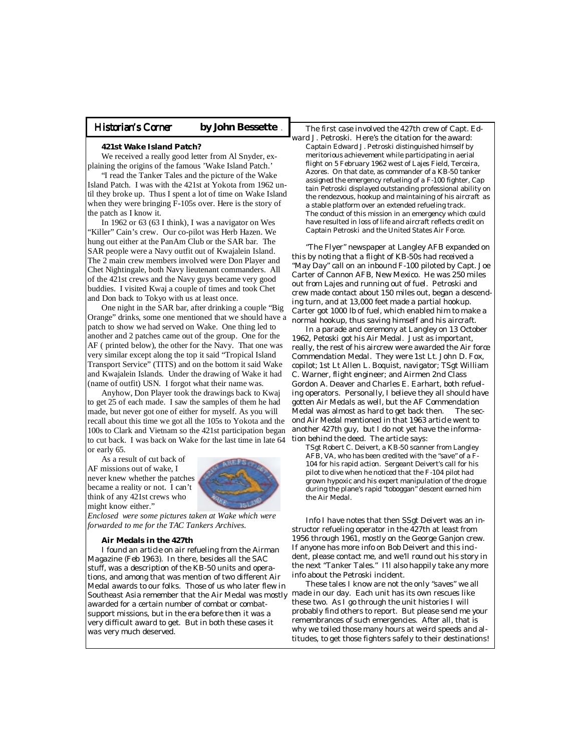#### Historian's Corner by John Bessette

#### **421st Wake Island Patch?**

We received a really good letter from Al Snyder, explaining the origins of the famous 'Wake Island Patch.'

 "I read the Tanker Tales and the picture of the Wake Island Patch. I was with the 421st at Yokota from 1962 until they broke up. Thus I spent a lot of time on Wake Island when they were bringing F-105s over. Here is the story of the patch as I know it.

 In 1962 or 63 (63 I think), I was a navigator on Wes "Killer" Cain's crew. Our co-pilot was Herb Hazen. We hung out either at the PanAm Club or the SAR bar. The SAR people were a Navy outfit out of Kwajalein Island. The 2 main crew members involved were Don Player and Chet Nightingale, both Navy lieutenant commanders. All of the 421st crews and the Navy guys became very good buddies. I visited Kwaj a couple of times and took Chet and Don back to Tokyo with us at least once.

 One night in the SAR bar, after drinking a couple "Big Orange" drinks, some one mentioned that we should have a patch to show we had served on Wake. One thing led to another and 2 patches came out of the group. One for the AF ( printed below), the other for the Navy. That one was very similar except along the top it said "Tropical Island Transport Service" (TITS) and on the bottom it said Wake and Kwajalein Islands. Under the drawing of Wake it had (name of outfit) USN. I forgot what their name was.

 Anyhow, Don Player took the drawings back to Kwaj to get 25 of each made. I saw the samples of them he had made, but never got one of either for myself. As you will recall about this time we got all the 105s to Yokota and the 100s to Clark and Vietnam so the 421st participation began to cut back. I was back on Wake for the last time in late 64 or early 65.

 As a result of cut back of AF missions out of wake, I never knew whether the patches became a reality or not. I can't think of any 421st crews who might know either."



*Enclosed were some pictures taken at Wake which were forwarded to me for the TAC Tankers Archives.*

#### **Air Medals in the 427th**

 I found an article on air refueling from the Airman Magazine (Feb 1963). In there, besides all the SAC stuff, was a description of the KB-50 units and operations, and among that was mention of two different Air Medal awards to our folks. Those of us who later flew in Southeast Asia remember that the Air Medal was mostly awarded for a certain number of combat or combatsupport missions, but in the era before then it was a very difficult award to get. But in both these cases it was very much deserved.

 The first case involved the 427th crew of Capt. Edward J. Petroski. Here's the citation for the award: Captain Edward J. Petroski distinguished himself by meritorious achievement while participating in aerial flight on 5 February 1962 west of Lajes Field, Terceira, Azores. On that date, as commander of a KB-50 tanker assigned the emergency refueling of a F-100 fighter, Cap tain Petroski displayed outstanding professional ability on the rendezvous, hookup and maintaining of his aircraft as a stable platform over an extended refueling track. The conduct of this mission in an emergency which could have resulted in loss of life and aircraft reflects credit on Captain Petroski and the United States Air Force.

 "The Flyer" newspaper at Langley AFB expanded on this by noting that a flight of KB-50s had received a "May Day" call on an inbound F-100 piloted by Capt. Joe Carter of Cannon AFB, New Mexico. He was 250 miles out from Lajes and running out of fuel. Petroski and crew made contact about 150 miles out, began a descending turn, and at 13,000 feet made a partial hookup. Carter got 1000 lb of fuel, which enabled him to make a normal hookup, thus saving himself and his aircraft.

 In a parade and ceremony at Langley on 13 October 1962, Petoski got his Air Medal. Just as important, really, the rest of his aircrew were awarded the Air force Commendation Medal. They were 1st Lt. John D. Fox, copilot; 1st Lt Allen L. Boquist, navigator; TSgt William C. Warner, flight engineer; and Airmen 2nd Class Gordon A. Deaver and Charles E. Earhart, both refueling operators. Personally, I believe they all should have gotten Air Medals as well, but the AF Commendation Medal was almost as hard to get back then. The second Air Medal mentioned in that 1963 article went to another 427th guy, but I do not yet have the information behind the deed. The article says:

 TSgt Robert C. Deivert, a KB-50 scanner from Langley AFB, VA, who has been credited with the "save" of a F- 104 for his rapid action. Sergeant Deivert's call for his pilot to dive when he noticed that the F-104 pilot had grown hypoxic and his expert manipulation of the drogue during the plane's rapid "toboggan" descent earned him the Air Medal.

Info I have notes that then SSgt Deivert was an instructor refueling operator in the 427th at least from 1956 through 1961, mostly on the George Ganjon crew. If anyone has more info on Bob Deivert and this incident, please contact me, and we'll round out his story in the next "Tanker Tales." I'll also happily take any more info about the Petroski incident.

 These tales I know are not the only "saves" we all made in our day. Each unit has its own rescues like these two. As I go through the unit histories I will probably find others to report. But please send me your remembrances of such emergencies. After all, that is why we toiled those many hours at weird speeds and altitudes, to get those fighters safely to their destinations!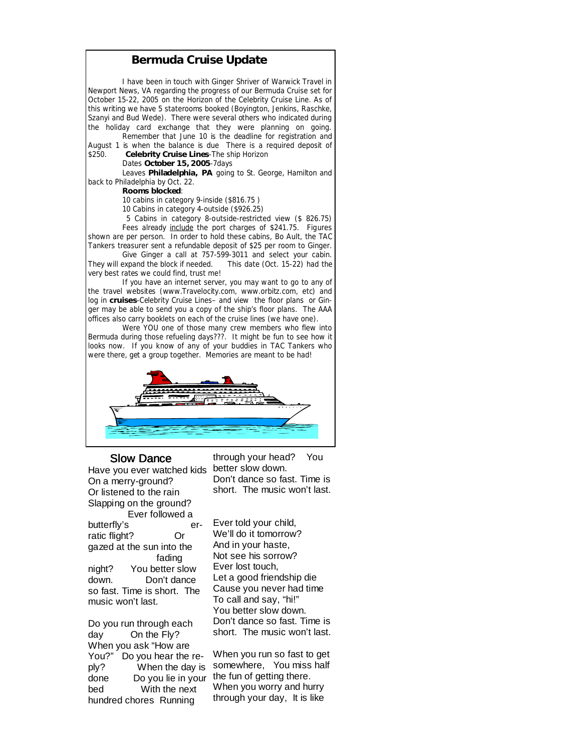### **Bermuda Cruise Update**

I have been in touch with Ginger Shriver of Warwick Travel in Newport News, VA regarding the progress of our Bermuda Cruise set for October 15-22, 2005 on the Horizon of the Celebrity Cruise Line. As of this writing we have 5 staterooms booked (Boyington, Jenkins, Raschke, Szanyi and Bud Wede). There were several others who indicated during the holiday card exchange that they were planning on going.

 Remember that June 10 is the deadline for registration and August 1 is when the balance is due There is a required deposit of \$250. **Celebrity Cruise Lines**-The ship Horizon

#### Dates **October 15, 2005**-7days

 Leaves **Philadelphia, PA** going to St. George, Hamilton and back to Philadelphia by Oct. 22.

#### **Rooms blocked**:

10 cabins in category 9-inside (\$816.75 )

10 Cabins in category 4-outside (\$926.25)

 5 Cabins in category 8-outside-restricted view (\$ 826.75) Fees already include the port charges of \$241.75. Figures

shown are per person. In order to hold these cabins, Bo Ault, the TAC Tankers treasurer sent a refundable deposit of \$25 per room to Ginger.

 Give Ginger a call at 757-599-3011 and select your cabin. They will expand the block if needed. This date (Oct. 15-22) had the very best rates we could find, trust me!

 If you have an internet server, you may want to go to any of the travel websites (www.Travelocity.com, www.orbitz.com, etc) and log in **cruises**-Celebrity Cruise Lines– and view the floor plans or Ginger may be able to send you a copy of the ship's floor plans. The AAA offices also carry booklets on each of the cruise lines (we have one).

 Were YOU one of those many crew members who flew into Bermuda during those refueling days???. It might be fun to see how it looks now. If you know of any of your buddies in TAC Tankers who were there, get a group together. Memories are meant to be had!



### Slow Dance

Have you ever watched kids On a merry-ground? Or listened to the rain Slapping on the ground?

 Ever followed a butterfly's erratic flight? Or gazed at the sun into the fading night? You better slow down. Don't dance so fast. Time is short. The music won't last.

Do you run through each day On the Fly? When you ask "How are You?" Do you hear the redone Do you lie in your the fun of getting there. bed With the next hundred chores Running

through your head? You better slow down. Don't dance so fast. Time is short. The music won't last.

Ever told your child, We'll do it tomorrow? And in your haste, Not see his sorrow? Ever lost touch, Let a good friendship die Cause you never had time To call and say, "hi!" You better slow down. Don't dance so fast. Time is short. The music won't last.

ply? When the day is somewhere, You miss half When you run so fast to get When you worry and hurry through your day, It is like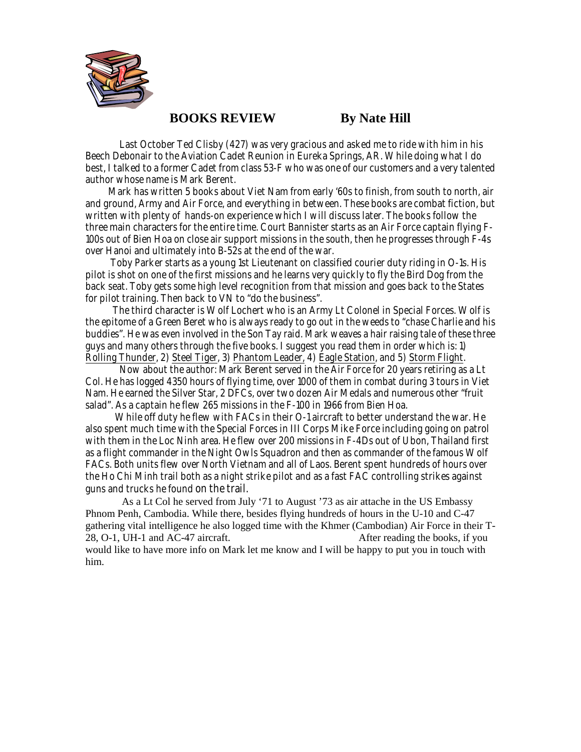

# **BOOKS REVIEW By Nate Hill**

Last October Ted Clisby (427) was very gracious and asked me to ride with him in his Beech Debonair to the Aviation Cadet Reunion in Eureka Springs, AR. While doing what I do best, I talked to a former Cadet from class 53-F who was one of our customers and a very talented author whose name is Mark Berent.

 Mark has written 5 books about Viet Nam from early '60s to finish, from south to north, air and ground, Army and Air Force, and everything in between. These books are combat fiction, but written with plenty of hands-on experience which I will discuss later. The books follow the three main characters for the entire time. Court Bannister starts as an Air Force captain flying F-100s out of Bien Hoa on close air support missions in the south, then he progresses through F-4s over Hanoi and ultimately into B-52s at the end of the war.

 Toby Parker starts as a young 1st Lieutenant on classified courier duty riding in O-1s. His pilot is shot on one of the first missions and he learns very quickly to fly the Bird Dog from the back seat. Toby gets some high level recognition from that mission and goes back to the States for pilot training. Then back to VN to "do the business".

 The third character is Wolf Lochert who is an Army Lt Colonel in Special Forces. Wolf is the epitome of a Green Beret who is always ready to go out in the weeds to "chase Charlie and his buddies". He was even involved in the Son Tay raid. Mark weaves a hair raising tale of these three guys and many others through the five books. I suggest you read them in order which is: 1) Rolling Thunder, 2) Steel Tiger, 3) Phantom Leader, 4) Eagle Station, and 5) Storm Flight.

 Now about the author: Mark Berent served in the Air Force for 20 years retiring as a Lt Col. He has logged 4350 hours of flying time, over 1000 of them in combat during 3 tours in Viet Nam. He earned the Silver Star, 2 DFCs, over two dozen Air Medals and numerous other "fruit salad". As a captain he flew 265 missions in the F-100 in 1966 from Bien Hoa.

 While off duty he flew with FACs in their O-1 aircraft to better understand the war. He also spent much time with the Special Forces in III Corps Mike Force including going on patrol with them in the Loc Ninh area. He flew over 200 missions in F-4Ds out of Ubon, Thailand first as a flight commander in the Night Owls Squadron and then as commander of the famous Wolf FACs. Both units flew over North Vietnam and all of Laos. Berent spent hundreds of hours over the Ho Chi Minh trail both as a night strike pilot and as a fast FAC controlling strikes against guns and trucks he found on the trail.

 As a Lt Col he served from July '71 to August '73 as air attache in the US Embassy Phnom Penh, Cambodia. While there, besides flying hundreds of hours in the U-10 and C-47 gathering vital intelligence he also logged time with the Khmer (Cambodian) Air Force in their T-28, O-1, UH-1 and AC-47 aircraft. After reading the books, if you would like to have more info on Mark let me know and I will be happy to put you in touch with him.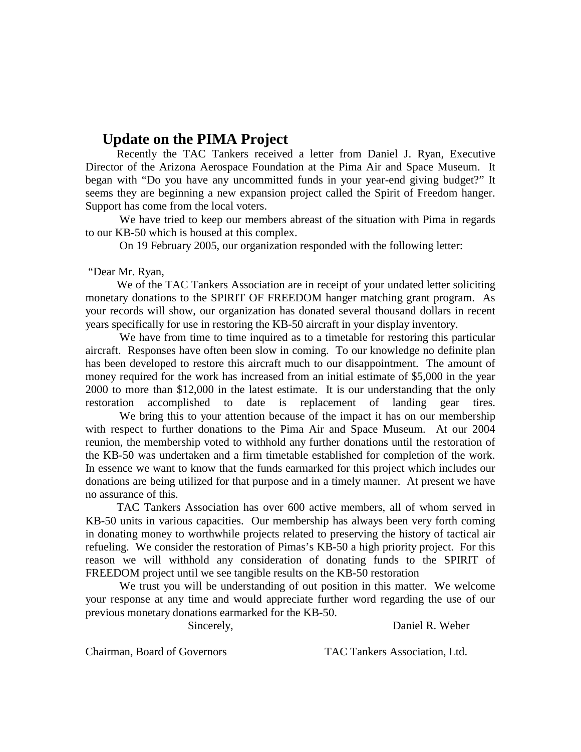# **Update on the PIMA Project**

 Recently the TAC Tankers received a letter from Daniel J. Ryan, Executive Director of the Arizona Aerospace Foundation at the Pima Air and Space Museum. It began with "Do you have any uncommitted funds in your year-end giving budget?" It seems they are beginning a new expansion project called the Spirit of Freedom hanger. Support has come from the local voters.

 We have tried to keep our members abreast of the situation with Pima in regards to our KB-50 which is housed at this complex.

On 19 February 2005, our organization responded with the following letter:

"Dear Mr. Ryan,

We of the TAC Tankers Association are in receipt of your undated letter soliciting monetary donations to the SPIRIT OF FREEDOM hanger matching grant program. As your records will show, our organization has donated several thousand dollars in recent years specifically for use in restoring the KB-50 aircraft in your display inventory.

 We have from time to time inquired as to a timetable for restoring this particular aircraft. Responses have often been slow in coming. To our knowledge no definite plan has been developed to restore this aircraft much to our disappointment. The amount of money required for the work has increased from an initial estimate of \$5,000 in the year 2000 to more than \$12,000 in the latest estimate. It is our understanding that the only restoration accomplished to date is replacement of landing gear tires.

 We bring this to your attention because of the impact it has on our membership with respect to further donations to the Pima Air and Space Museum. At our 2004 reunion, the membership voted to withhold any further donations until the restoration of the KB-50 was undertaken and a firm timetable established for completion of the work. In essence we want to know that the funds earmarked for this project which includes our donations are being utilized for that purpose and in a timely manner. At present we have no assurance of this.

 TAC Tankers Association has over 600 active members, all of whom served in KB-50 units in various capacities. Our membership has always been very forth coming in donating money to worthwhile projects related to preserving the history of tactical air refueling. We consider the restoration of Pimas's KB-50 a high priority project. For this reason we will withhold any consideration of donating funds to the SPIRIT of FREEDOM project until we see tangible results on the KB-50 restoration

 We trust you will be understanding of out position in this matter. We welcome your response at any time and would appreciate further word regarding the use of our previous monetary donations earmarked for the KB-50.

Sincerely, Daniel R. Weber

Chairman, Board of Governors TAC Tankers Association, Ltd.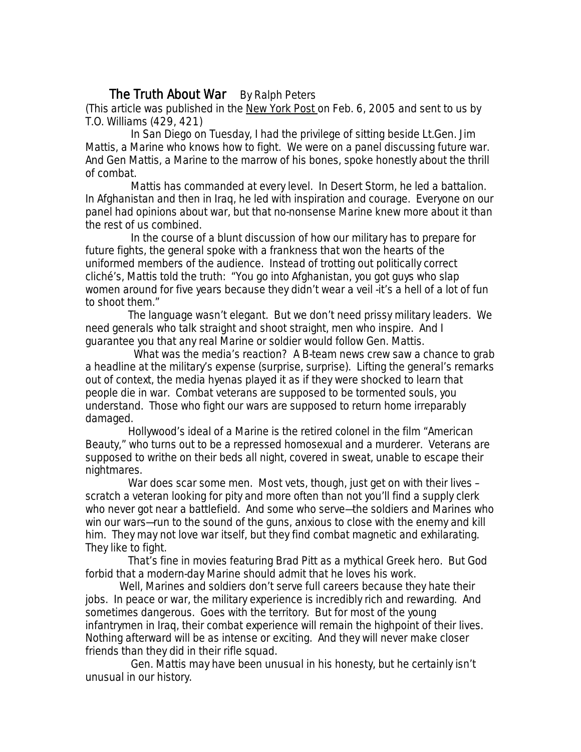# The Truth About War By Ralph Peters

*(This article was published in the New York Post on Feb. 6, 2005 and sent to us by T.O. Williams (429, 421)*

 In San Diego on Tuesday, I had the privilege of sitting beside Lt.Gen. Jim Mattis, a Marine who knows how to fight. We were on a panel discussing future war. And Gen Mattis, a Marine to the marrow of his bones, spoke honestly about the thrill of combat.

 Mattis has commanded at every level. In Desert Storm, he led a battalion. In Afghanistan and then in Iraq, he led with inspiration and courage. Everyone on our panel had opinions about war, but that no-nonsense Marine knew more about it than the rest of us combined.

 In the course of a blunt discussion of how our military has to prepare for future fights, the general spoke with a frankness that won the hearts of the uniformed members of the audience. Instead of trotting out politically correct cliché's, Mattis told the truth: "You go into Afghanistan, you got guys who slap women around for five years because they didn't wear a veil -it's a hell of a lot of fun to shoot them."

 The language wasn't elegant. But we don't need prissy military leaders. We need generals who talk straight and shoot straight, men who inspire. And I guarantee you that any real Marine or soldier would follow Gen. Mattis.

 What was the media's reaction? A B-team news crew saw a chance to grab a headline at the military's expense (surprise, surprise). Lifting the general's remarks out of context, the media hyenas played it as if they were shocked to learn that people die in war. Combat veterans are supposed to be tormented souls, you understand. Those who fight our wars are supposed to return home irreparably damaged.

 Hollywood's ideal of a Marine is the retired colonel in the film "American Beauty," who turns out to be a repressed homosexual and a murderer. Veterans are supposed to writhe on their beds all night, covered in sweat, unable to escape their nightmares.

War does scar some men. Most vets, though, just get on with their lives – scratch a veteran looking for pity and more often than not you'll find a supply clerk who never got near a battlefield. And some who serve—the soldiers and Marines who win our wars—run to the sound of the guns, anxious to close with the enemy and kill him. They may not love war itself, but they find combat magnetic and exhilarating. They like to fight.

 That's fine in movies featuring Brad Pitt as a mythical Greek hero. But God forbid that a modern-day Marine should admit that he loves his work.

 Well, Marines and soldiers don't serve full careers because they hate their jobs. In peace or war, the military experience is incredibly rich and rewarding. And sometimes dangerous. Goes with the territory. But for most of the young infantrymen in Iraq, their combat experience will remain the highpoint of their lives. Nothing afterward will be as intense or exciting. And they will never make closer friends than they did in their rifle squad.

 Gen. Mattis may have been unusual in his honesty, but he certainly isn't unusual in our history.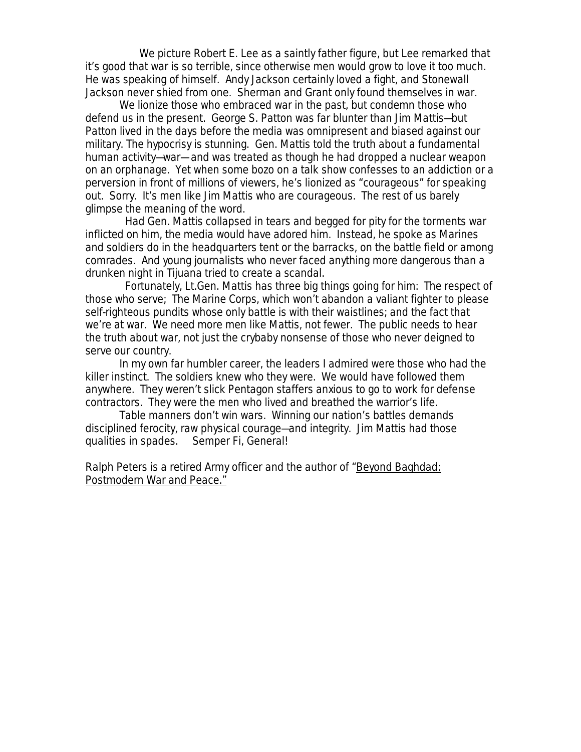We picture Robert E. Lee as a saintly father figure, but Lee remarked that it's good that war is so terrible, since otherwise men would grow to love it too much. He was speaking of himself. Andy Jackson certainly loved a fight, and Stonewall Jackson never shied from one. Sherman and Grant only found themselves in war.

 We lionize those who embraced war in the past, but condemn those who defend us in the present. George S. Patton was far blunter than Jim Mattis—but Patton lived in the days before the media was omnipresent and biased against our military. The hypocrisy is stunning. Gen. Mattis told the truth about a fundamental human activity—war— and was treated as though he had dropped a nuclear weapon on an orphanage. Yet when some bozo on a talk show confesses to an addiction or a perversion in front of millions of viewers, he's lionized as "courageous" for speaking out. Sorry. It's men like Jim Mattis who are courageous. The rest of us barely glimpse the meaning of the word.

 Had Gen. Mattis collapsed in tears and begged for pity for the torments war inflicted on him, the media would have adored him. Instead, he spoke as Marines and soldiers do in the headquarters tent or the barracks, on the battle field or among comrades. And young journalists who never faced anything more dangerous than a drunken night in Tijuana tried to create a scandal.

 Fortunately, Lt.Gen. Mattis has three big things going for him: The respect of those who serve; The Marine Corps, which won't abandon a valiant fighter to please self-righteous pundits whose only battle is with their waistlines; and the fact that we're at war. We need more men like Mattis, not fewer. The public needs to hear the truth about war, not just the crybaby nonsense of those who never deigned to serve our country.

 In my own far humbler career, the leaders I admired were those who had the killer instinct. The soldiers knew who they were. We would have followed them anywhere. They weren't slick Pentagon staffers anxious to go to work for defense contractors. They were the men who lived and breathed the warrior's life.

 Table manners don't win wars. Winning our nation's battles demands disciplined ferocity, raw physical courage—and integrity. Jim Mattis had those qualities in spades. Semper Fi, General!

*Ralph Peters is a retired Army officer and the author of* "Beyond Baghdad: Postmodern War and Peace."